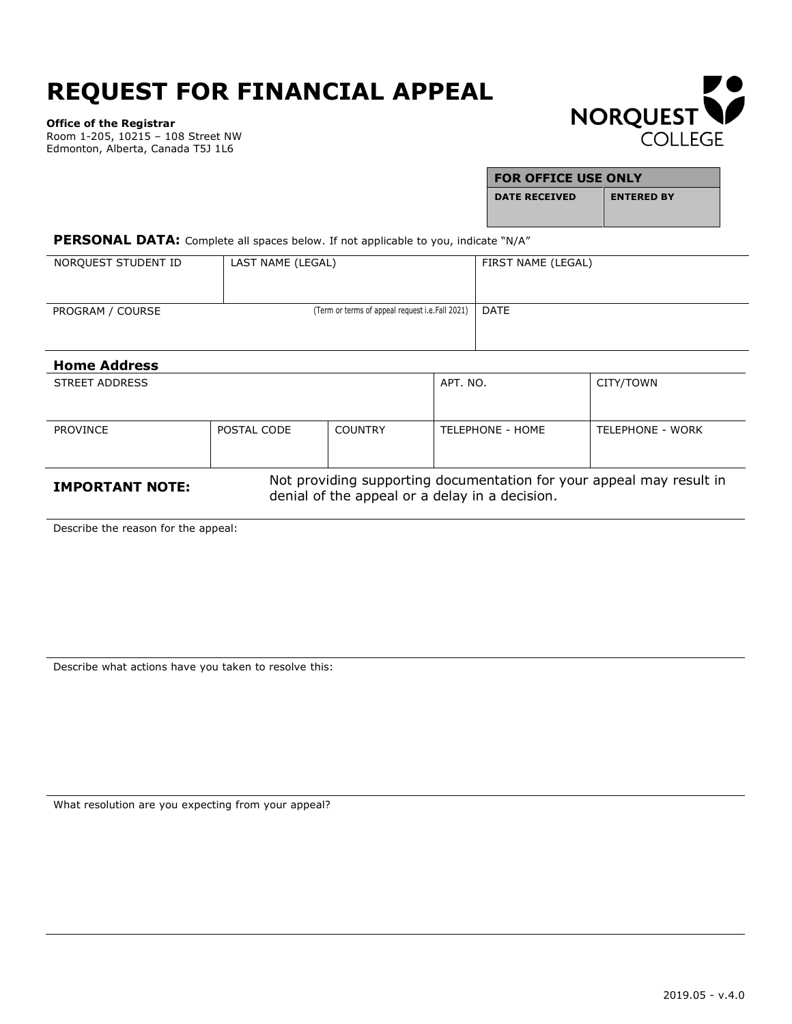## **REQUEST FOR FINANCIAL APPEAL**

**Office of the Registrar**

Room 1-205, 10215 – 108 Street NW Edmonton, Alberta, Canada T5J 1L6



| <b>FOR OFFICE USE ONLY</b> |                   |  |
|----------------------------|-------------------|--|
| <b>DATE RECEIVED</b>       | <b>ENTERED BY</b> |  |
|                            |                   |  |

PERSONAL DATA: Complete all spaces below. If not applicable to you, indicate "N/A"

| NORQUEST STUDENT ID | LAST NAME (LEGAL)                               | FIRST NAME (LEGAL) |
|---------------------|-------------------------------------------------|--------------------|
| PROGRAM / COURSE    | (Term or terms of appeal request i.e.Fall 2021) | DATE               |

| <b>Home Address</b>    |                                                                                                                        |                |                  |                  |
|------------------------|------------------------------------------------------------------------------------------------------------------------|----------------|------------------|------------------|
| STREET ADDRESS         |                                                                                                                        |                | APT. NO.         | CITY/TOWN        |
|                        |                                                                                                                        |                |                  |                  |
| <b>PROVINCE</b>        | POSTAL CODE                                                                                                            | <b>COUNTRY</b> | TELEPHONE - HOME | TELEPHONE - WORK |
|                        |                                                                                                                        |                |                  |                  |
| <b>IMPORTANT NOTE:</b> | Not providing supporting documentation for your appeal may result in<br>denial of the appeal or a delay in a decision. |                |                  |                  |

Describe the reason for the appeal:

Describe what actions have you taken to resolve this:

What resolution are you expecting from your appeal?